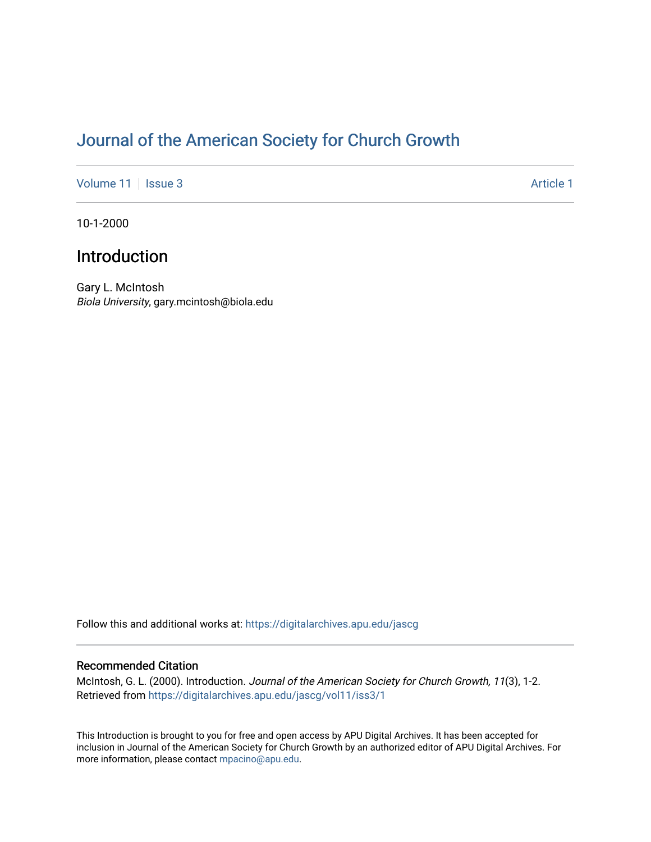# [Journal of the American Society for Church Growth](https://digitalarchives.apu.edu/jascg)

[Volume 11](https://digitalarchives.apu.edu/jascg/vol11) | [Issue 3](https://digitalarchives.apu.edu/jascg/vol11/iss3) Article 1

10-1-2000

## Introduction

Gary L. McIntosh Biola University, gary.mcintosh@biola.edu

Follow this and additional works at: [https://digitalarchives.apu.edu/jascg](https://digitalarchives.apu.edu/jascg?utm_source=digitalarchives.apu.edu%2Fjascg%2Fvol11%2Fiss3%2F1&utm_medium=PDF&utm_campaign=PDFCoverPages) 

### Recommended Citation

McIntosh, G. L. (2000). Introduction. Journal of the American Society for Church Growth, 11(3), 1-2. Retrieved from [https://digitalarchives.apu.edu/jascg/vol11/iss3/1](https://digitalarchives.apu.edu/jascg/vol11/iss3/1?utm_source=digitalarchives.apu.edu%2Fjascg%2Fvol11%2Fiss3%2F1&utm_medium=PDF&utm_campaign=PDFCoverPages)

This Introduction is brought to you for free and open access by APU Digital Archives. It has been accepted for inclusion in Journal of the American Society for Church Growth by an authorized editor of APU Digital Archives. For more information, please contact [mpacino@apu.edu](mailto:mpacino@apu.edu).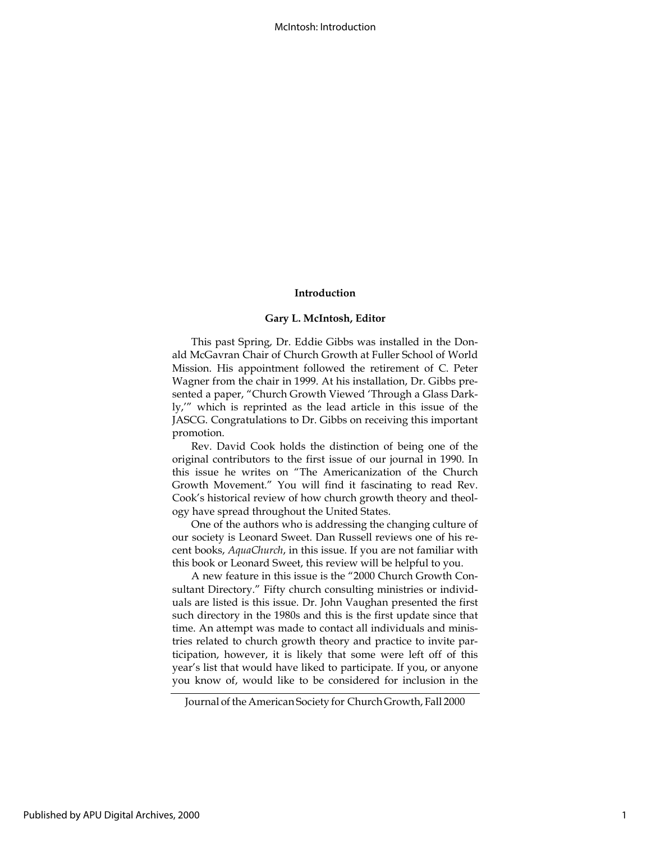### Introduction

#### Gary L. McIntosh, Editor

This past Spring, Dr. Eddie Gibbs was installed in the Donald McGavran Chair of Church Growth at Fuller School of World Mission. His appointment followed the retirement of C. Peter Wagner from the chair in 1999. At his installation, Dr. Gibbs presented a paper, "Church Growth Viewed 'Through a Glass Darkly,'" which is reprinted as the lead article in this issue of the JASCG. Congratulations to Dr. Gibbs on receiving this important promotion.

Rev. David Cook holds the distinction of being one of the original contributors to the first issue of our journal in 1990. In this issue he writes on "The Americanization of the Church Growth Movement." You will find it fascinating to read Rev. Cook's historical review of how church growth theory and theology have spread throughout the United States.

One of the authors who is addressing the changing culture of our society is Leonard Sweet. Dan Russell reviews one of his recent books, AquaChurch, in this issue. If you are not familiar with this book or Leonard Sweet, this review will be helpful to you.

A new feature in this issue is the "2000 Church Growth Consultant Directory." Fifty church consulting ministries or individuals are listed is this issue. Dr. John Vaughan presented the first such directory in the 1980s and this is the first update since that time. An attempt was made to contact all individuals and ministries related to church growth theory and practice to invite participation, however, it is likely that some were left off of this year's list that would have liked to participate. If you, or anyone you know of, would like to be considered for inclusion in the

Journal of the American Society for Church Growth, Fall 2000